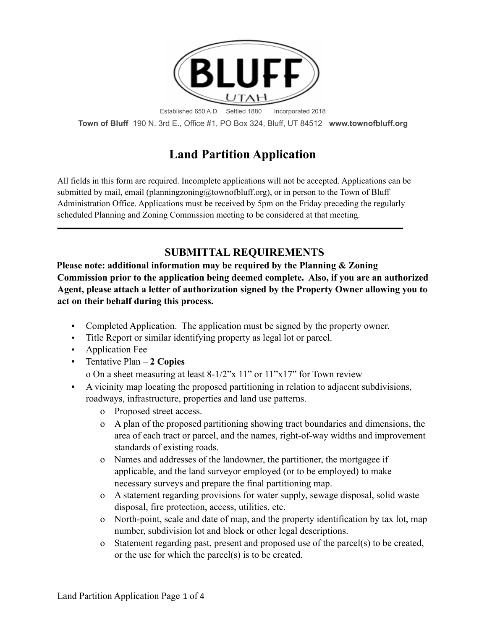

**Town of Bluff** 190 N. 3rd E., Office #1, PO Box 324, Bluff, UT 84512 **www.townofbluff.org**

# **Land Partition Application**

All fields in this form are required. Incomplete applications will not be accepted. Applications can be submitted by mail, email (planningzoning@townofbluff.org), or in person to the Town of Bluff Administration Office. Applications must be received by 5pm on the Friday preceding the regularly scheduled Planning and Zoning Commission meeting to be considered at that meeting.

### **SUBMITTAL REQUIREMENTS**

**Please note: additional information may be required by the Planning & Zoning Commission prior to the application being deemed complete. Also, if you are an authorized Agent, please attach a letter of authorization signed by the Property Owner allowing you to act on their behalf during this process.**

- Completed Application. The application must be signed by the property owner.
- Title Report or similar identifying property as legal lot or parcel.
- **•** Application Fee
- Tentative Plan **2 Copies**

o On a sheet measuring at least 8-1/2"x 11" or 11"x17" for Town review

- A vicinity map locating the proposed partitioning in relation to adjacent subdivisions, roadways, infrastructure, properties and land use patterns.
	- o Proposed street access.
	- o A plan of the proposed partitioning showing tract boundaries and dimensions, the area of each tract or parcel, and the names, right-of-way widths and improvement standards of existing roads.
	- o Names and addresses of the landowner, the partitioner, the mortgagee if applicable, and the land surveyor employed (or to be employed) to make necessary surveys and prepare the final partitioning map.
	- o A statement regarding provisions for water supply, sewage disposal, solid waste disposal, fire protection, access, utilities, etc.
	- o North-point, scale and date of map, and the property identification by tax lot, map number, subdivision lot and block or other legal descriptions.
	- o Statement regarding past, present and proposed use of the parcel(s) to be created, or the use for which the parcel(s) is to be created.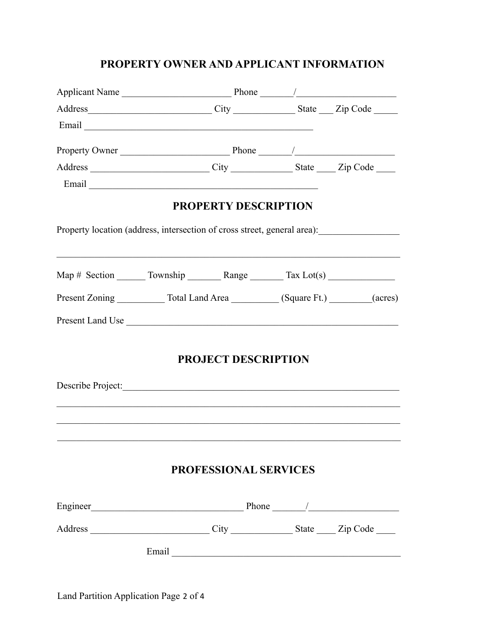## **PROPERTY OWNER AND APPLICANT INFORMATION**

|                                                                                  |                                                                                        | Address City City State Zip Code                                                                                                                                                                                              |  |  |  |  |
|----------------------------------------------------------------------------------|----------------------------------------------------------------------------------------|-------------------------------------------------------------------------------------------------------------------------------------------------------------------------------------------------------------------------------|--|--|--|--|
|                                                                                  |                                                                                        |                                                                                                                                                                                                                               |  |  |  |  |
|                                                                                  |                                                                                        |                                                                                                                                                                                                                               |  |  |  |  |
|                                                                                  |                                                                                        |                                                                                                                                                                                                                               |  |  |  |  |
|                                                                                  |                                                                                        |                                                                                                                                                                                                                               |  |  |  |  |
|                                                                                  |                                                                                        | <b>PROPERTY DESCRIPTION</b>                                                                                                                                                                                                   |  |  |  |  |
| Property location (address, intersection of cross street, general area):         |                                                                                        |                                                                                                                                                                                                                               |  |  |  |  |
| Map # Section ________ Township _________ Range ________ Tax Lot(s) ____________ |                                                                                        |                                                                                                                                                                                                                               |  |  |  |  |
|                                                                                  | Present Zoning _____________ Total Land Area ___________ (Square Ft.) ________ (acres) |                                                                                                                                                                                                                               |  |  |  |  |
| Present Land Use                                                                 |                                                                                        |                                                                                                                                                                                                                               |  |  |  |  |
|                                                                                  |                                                                                        | <b>PROJECT DESCRIPTION</b>                                                                                                                                                                                                    |  |  |  |  |
| Describe Project:                                                                |                                                                                        |                                                                                                                                                                                                                               |  |  |  |  |
|                                                                                  |                                                                                        |                                                                                                                                                                                                                               |  |  |  |  |
|                                                                                  |                                                                                        | <b>PROFESSIONAL SERVICES</b>                                                                                                                                                                                                  |  |  |  |  |
|                                                                                  |                                                                                        |                                                                                                                                                                                                                               |  |  |  |  |
|                                                                                  |                                                                                        |                                                                                                                                                                                                                               |  |  |  |  |
|                                                                                  |                                                                                        | Email Land and the same state of the same state of the same state of the same state of the same state of the same state of the same state of the same state of the same state of the same state of the same state of the same |  |  |  |  |
|                                                                                  |                                                                                        |                                                                                                                                                                                                                               |  |  |  |  |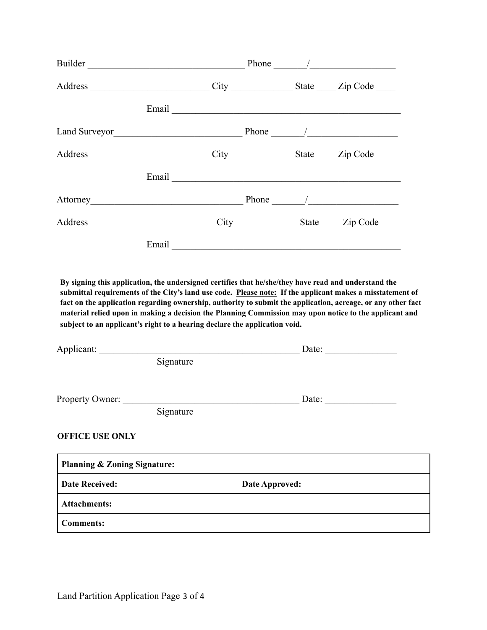| Builder Phone /                                                                                                                                                                    |           |  |                                                                                                                                                                                                                                                                                                                                     |
|------------------------------------------------------------------------------------------------------------------------------------------------------------------------------------|-----------|--|-------------------------------------------------------------------------------------------------------------------------------------------------------------------------------------------------------------------------------------------------------------------------------------------------------------------------------------|
| Address ______________________________City _______________State ______Zip Code _____                                                                                               |           |  |                                                                                                                                                                                                                                                                                                                                     |
|                                                                                                                                                                                    |           |  |                                                                                                                                                                                                                                                                                                                                     |
|                                                                                                                                                                                    |           |  |                                                                                                                                                                                                                                                                                                                                     |
| Address ________________________________City _________________State ______Zip Code _____                                                                                           |           |  |                                                                                                                                                                                                                                                                                                                                     |
|                                                                                                                                                                                    |           |  |                                                                                                                                                                                                                                                                                                                                     |
| Attorney Phone /                                                                                                                                                                   |           |  |                                                                                                                                                                                                                                                                                                                                     |
|                                                                                                                                                                                    |           |  |                                                                                                                                                                                                                                                                                                                                     |
|                                                                                                                                                                                    |           |  |                                                                                                                                                                                                                                                                                                                                     |
| By signing this application, the undersigned certifies that he/she/they have read and understand the<br>subject to an applicant's right to a hearing declare the application void. |           |  | submittal requirements of the City's land use code. Please note: If the applicant makes a misstatement of<br>fact on the application regarding ownership, authority to submit the application, acreage, or any other fact<br>material relied upon in making a decision the Planning Commission may upon notice to the applicant and |
| Applicant: Date: Date: Date:                                                                                                                                                       |           |  |                                                                                                                                                                                                                                                                                                                                     |
|                                                                                                                                                                                    | Signature |  |                                                                                                                                                                                                                                                                                                                                     |
|                                                                                                                                                                                    |           |  |                                                                                                                                                                                                                                                                                                                                     |
|                                                                                                                                                                                    | Signature |  |                                                                                                                                                                                                                                                                                                                                     |
| <b>OFFICE USE ONLY</b>                                                                                                                                                             |           |  |                                                                                                                                                                                                                                                                                                                                     |

| Planning & Zoning Signature: |                       |
|------------------------------|-----------------------|
| Date Received:               | <b>Date Approved:</b> |
| <b>Attachments:</b>          |                       |
| <b>Comments:</b>             |                       |

 $\mathbf{r}$